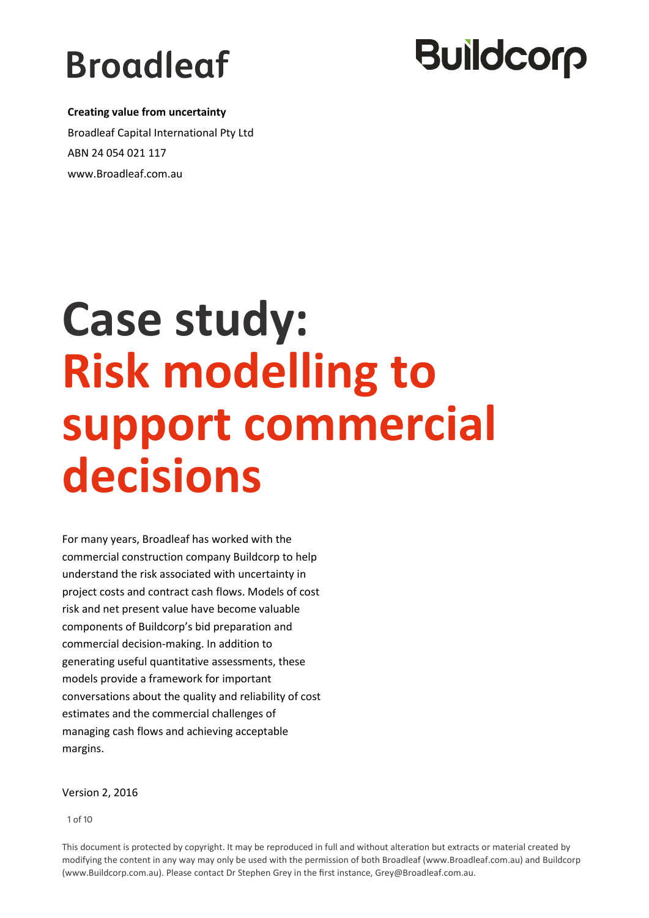# **Broadleaf**

# **Buildcorp**

 **Creating value from uncertainty** Broadleaf Capital International Pty Ltd ABN 24 054 021 117 www.Broadleaf.com.au

# **Case study: Risk modelling to support commercial decisions**

For many years, Broadleaf has worked with the commercial construction company Buildcorp to help understand the risk associated with uncertainty in project costs and contract cash flows. Models of cost risk and net present value have become valuable components of Buildcorp's bid preparation and commercial decision-making. In addition to generating useful quantitative assessments, these models provide a framework for important conversations about the quality and reliability of cost estimates and the commercial challenges of managing cash flows and achieving acceptable margins.

#### Version 2, 2016

1 of 10

This document is protected by copyright. It may be reproduced in full and without alteration but extracts or material created by modifying the content in any way may only be used with the permission of both Broadleaf (www.Broadleaf.com.au) and Buildcorp (www.Buildcorp.com.au). Please contact Dr Stephen Grey in the first instance, Grey@Broadleaf.com.au.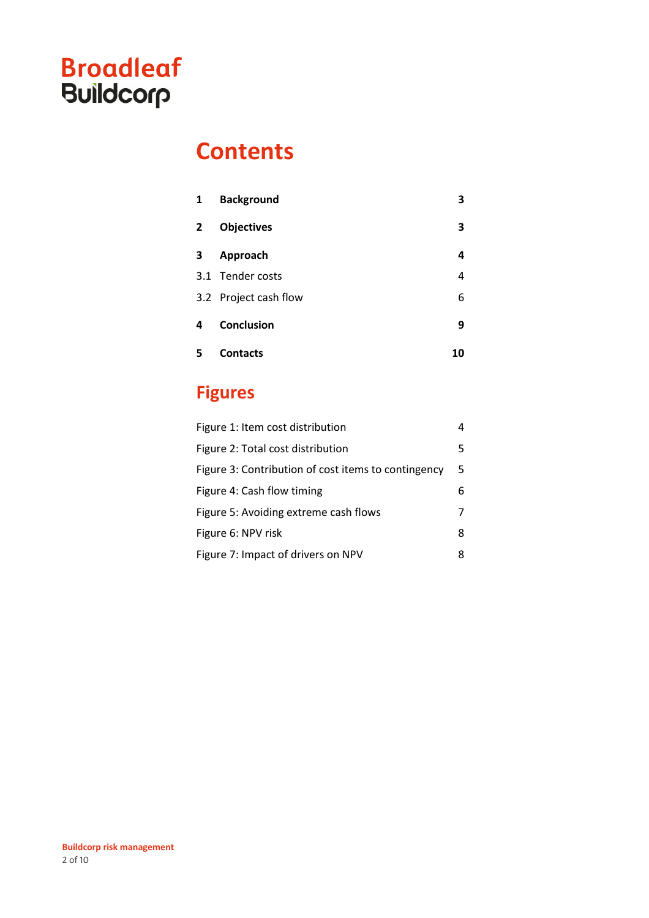### **Contents**

| 1 | <b>Background</b>     | 3  |
|---|-----------------------|----|
| 2 | <b>Objectives</b>     | 3  |
| з | Approach              | 4  |
|   | 3.1 Tender costs      | 4  |
|   | 3.2 Project cash flow | 6  |
| 4 | Conclusion            | 9  |
|   | <b>Contacts</b>       | 10 |

### **Figures**

| Figure 1: Item cost distribution                    | 4  |
|-----------------------------------------------------|----|
| Figure 2: Total cost distribution                   | 5. |
| Figure 3: Contribution of cost items to contingency | 5  |
| Figure 4: Cash flow timing                          | 6  |
| Figure 5: Avoiding extreme cash flows               | 7  |
| Figure 6: NPV risk                                  | 8  |
| Figure 7: Impact of drivers on NPV                  | 8  |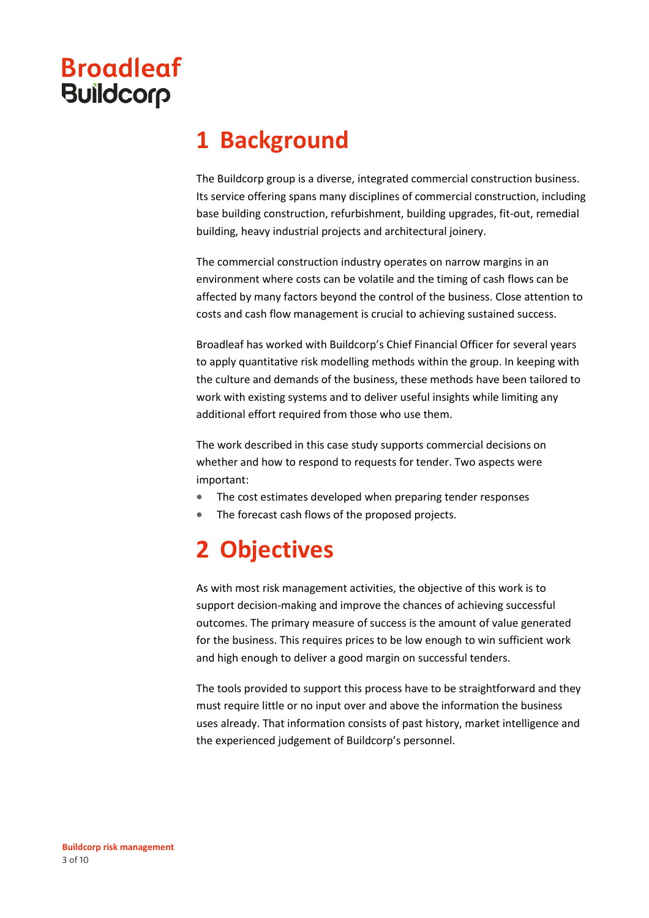## **1 Background**

The Buildcorp group is a diverse, integrated commercial construction business. Its service offering spans many disciplines of commercial construction, including base building construction, refurbishment, building upgrades, fit-out, remedial building, heavy industrial projects and architectural joinery.

The commercial construction industry operates on narrow margins in an environment where costs can be volatile and the timing of cash flows can be affected by many factors beyond the control of the business. Close attention to costs and cash flow management is crucial to achieving sustained success.

Broadleaf has worked with Buildcorp's Chief Financial Officer for several years to apply quantitative risk modelling methods within the group. In keeping with the culture and demands of the business, these methods have been tailored to work with existing systems and to deliver useful insights while limiting any additional effort required from those who use them.

The work described in this case study supports commercial decisions on whether and how to respond to requests for tender. Two aspects were important:

- The cost estimates developed when preparing tender responses
- The forecast cash flows of the proposed projects.

# **2 Objectives**

As with most risk management activities, the objective of this work is to support decision-making and improve the chances of achieving successful outcomes. The primary measure of success is the amount of value generated for the business. This requires prices to be low enough to win sufficient work and high enough to deliver a good margin on successful tenders.

The tools provided to support this process have to be straightforward and they must require little or no input over and above the information the business uses already. That information consists of past history, market intelligence and the experienced judgement of Buildcorp's personnel.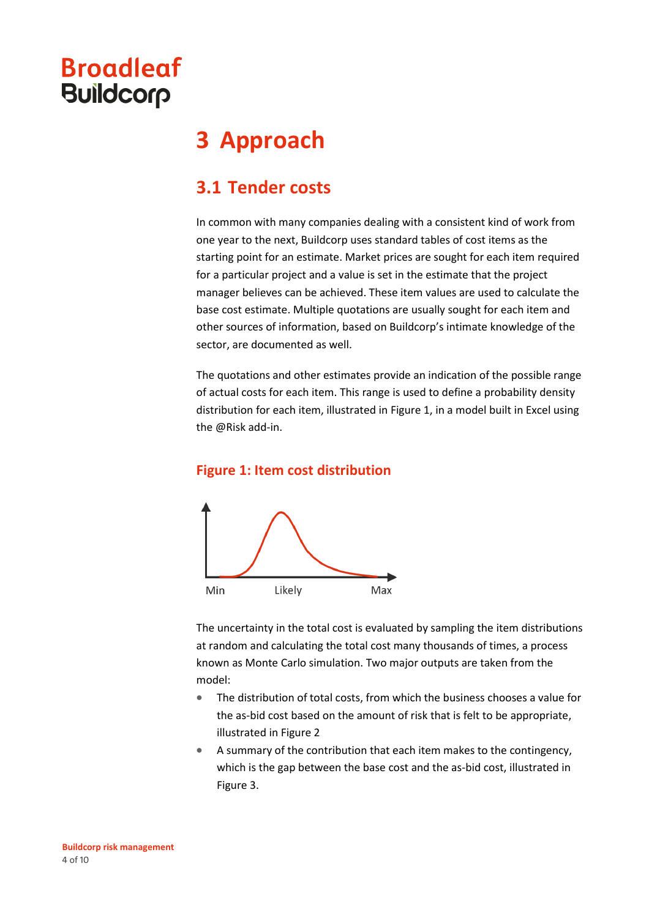## **3 Approach**

#### **3.1 Tender costs**

In common with many companies dealing with a consistent kind of work from one year to the next, Buildcorp uses standard tables of cost items as the starting point for an estimate. Market prices are sought for each item required for a particular project and a value is set in the estimate that the project manager believes can be achieved. These item values are used to calculate the base cost estimate. Multiple quotations are usually sought for each item and other sources of information, based on Buildcorp's intimate knowledge of the sector, are documented as well.

The quotations and other estimates provide an indication of the possible range of actual costs for each item. This range is used to define a probability density distribution for each item, illustrated in [Figure 1,](#page-3-0) in a model built in Excel using the @Risk add-in.

#### <span id="page-3-0"></span>**Figure 1: Item cost distribution**



The uncertainty in the total cost is evaluated by sampling the item distributions at random and calculating the total cost many thousands of times, a process known as Monte Carlo simulation. Two major outputs are taken from the model:

- The distribution of total costs, from which the business chooses a value for the as-bid cost based on the amount of risk that is felt to be appropriate, illustrated i[n Figure 2](#page-4-0)
- A summary of the contribution that each item makes to the contingency, which is the gap between the base cost and the as-bid cost, illustrated in [Figure 3.](#page-4-1)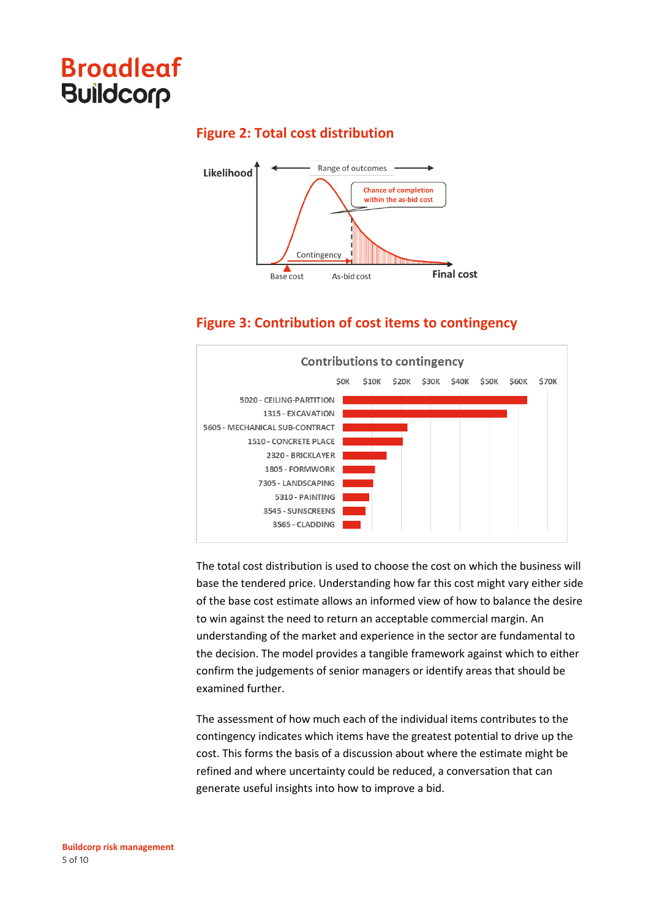<span id="page-4-0"></span>

#### **Figure 2: Total cost distribution**



#### **Figure 3: Contribution of cost items to contingency**

<span id="page-4-1"></span>

The total cost distribution is used to choose the cost on which the business will base the tendered price. Understanding how far this cost might vary either side of the base cost estimate allows an informed view of how to balance the desire to win against the need to return an acceptable commercial margin. An understanding of the market and experience in the sector are fundamental to the decision. The model provides a tangible framework against which to either confirm the judgements of senior managers or identify areas that should be examined further.

The assessment of how much each of the individual items contributes to the contingency indicates which items have the greatest potential to drive up the cost. This forms the basis of a discussion about where the estimate might be refined and where uncertainty could be reduced, a conversation that can generate useful insights into how to improve a bid.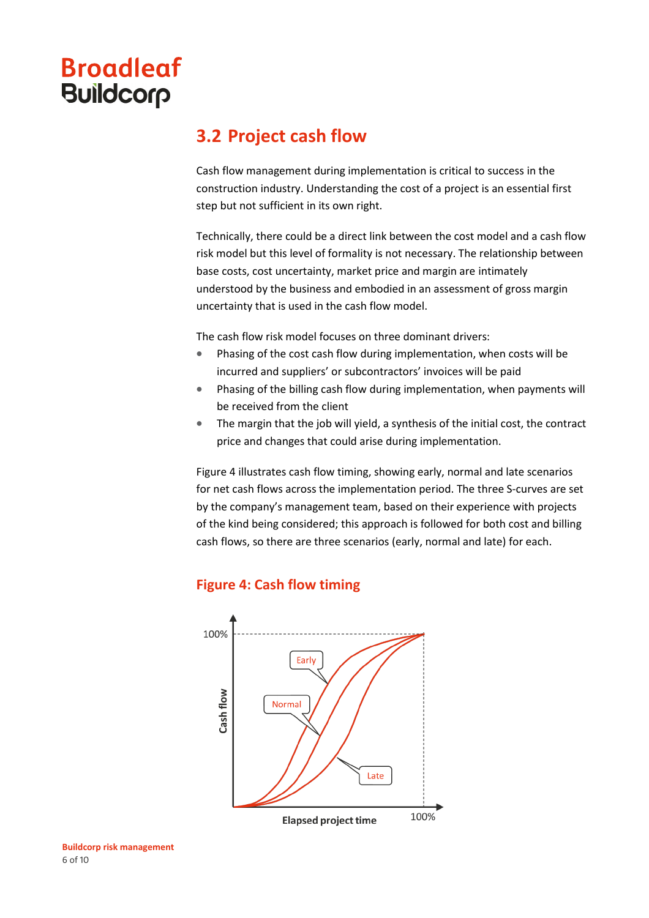#### **3.2 Project cash flow**

Cash flow management during implementation is critical to success in the construction industry. Understanding the cost of a project is an essential first step but not sufficient in its own right.

Technically, there could be a direct link between the cost model and a cash flow risk model but this level of formality is not necessary. The relationship between base costs, cost uncertainty, market price and margin are intimately understood by the business and embodied in an assessment of gross margin uncertainty that is used in the cash flow model.

The cash flow risk model focuses on three dominant drivers:

- Phasing of the cost cash flow during implementation, when costs will be incurred and suppliers' or subcontractors' invoices will be paid
- Phasing of the billing cash flow during implementation, when payments will be received from the client
- The margin that the job will yield, a synthesis of the initial cost, the contract price and changes that could arise during implementation.

[Figure 4](#page-5-0) illustrates cash flow timing, showing early, normal and late scenarios for net cash flows across the implementation period. The three S-curves are set by the company's management team, based on their experience with projects of the kind being considered; this approach is followed for both cost and billing cash flows, so there are three scenarios (early, normal and late) for each.

#### <span id="page-5-0"></span>**Figure 4: Cash flow timing**



**Elapsed project time**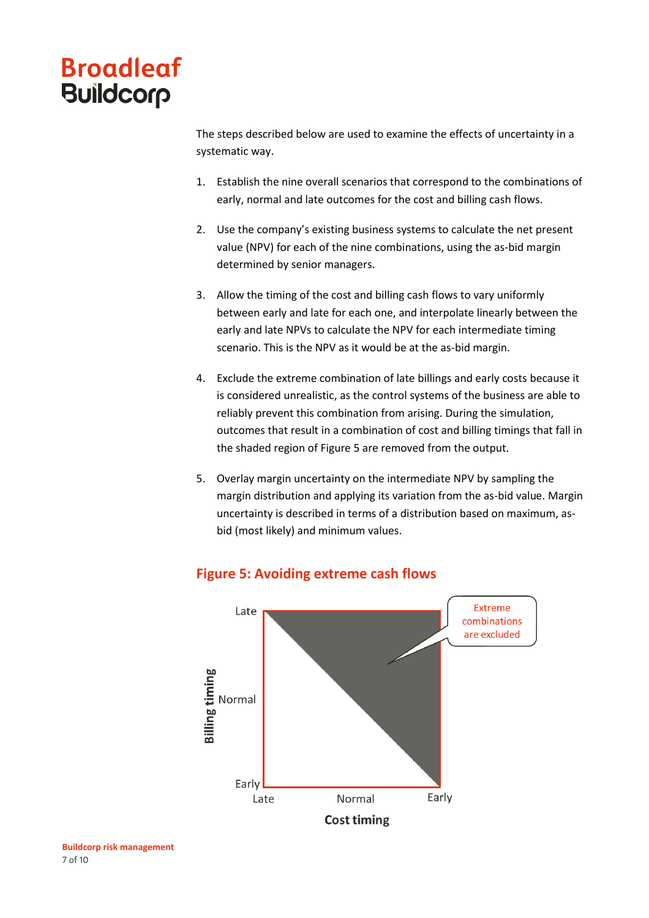The steps described below are used to examine the effects of uncertainty in a systematic way.

- 1. Establish the nine overall scenarios that correspond to the combinations of early, normal and late outcomes for the cost and billing cash flows.
- 2. Use the company's existing business systems to calculate the net present value (NPV) for each of the nine combinations, using the as-bid margin determined by senior managers.
- 3. Allow the timing of the cost and billing cash flows to vary uniformly between early and late for each one, and interpolate linearly between the early and late NPVs to calculate the NPV for each intermediate timing scenario. This is the NPV as it would be at the as-bid margin.
- 4. Exclude the extreme combination of late billings and early costs because it is considered unrealistic, as the control systems of the business are able to reliably prevent this combination from arising. During the simulation, outcomes that result in a combination of cost and billing timings that fall in the shaded region of [Figure 5](#page-6-0) are removed from the output.
- 5. Overlay margin uncertainty on the intermediate NPV by sampling the margin distribution and applying its variation from the as-bid value. Margin uncertainty is described in terms of a distribution based on maximum, asbid (most likely) and minimum values.

<span id="page-6-0"></span>

#### **Figure 5: Avoiding extreme cash flows**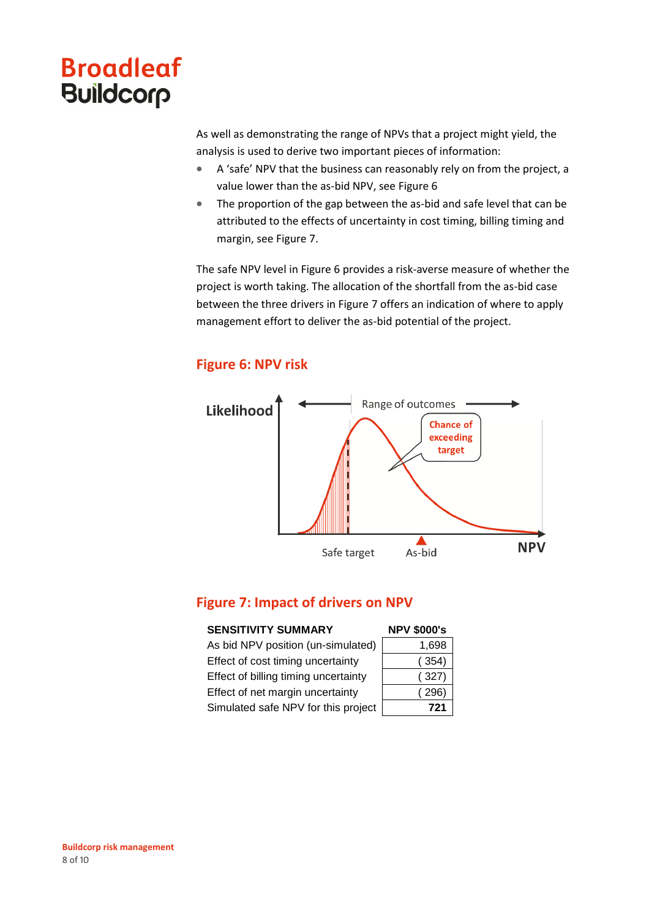As well as demonstrating the range of NPVs that a project might yield, the analysis is used to derive two important pieces of information:

- A 'safe' NPV that the business can reasonably rely on from the project, a value lower than the as-bid NPV, see [Figure 6](#page-7-0)
- The proportion of the gap between the as-bid and safe level that can be attributed to the effects of uncertainty in cost timing, billing timing and margin, see [Figure 7.](#page-7-1)

The safe NPV level in [Figure 6](#page-7-0) provides a risk-averse measure of whether the project is worth taking. The allocation of the shortfall from the as-bid case between the three drivers in [Figure 7](#page-7-1) offers an indication of where to apply management effort to deliver the as-bid potential of the project.

#### **Figure 6: NPV risk**

<span id="page-7-0"></span>

#### <span id="page-7-1"></span>**Figure 7: Impact of drivers on NPV**

| <b>SENSITIVITY SUMMARY</b>           | <b>NPV \$000's</b> |
|--------------------------------------|--------------------|
| As bid NPV position (un-simulated)   | 1,698              |
| Effect of cost timing uncertainty    | 354)               |
| Effect of billing timing uncertainty | (327)              |
| Effect of net margin uncertainty     | 296)               |
| Simulated safe NPV for this project  | 721                |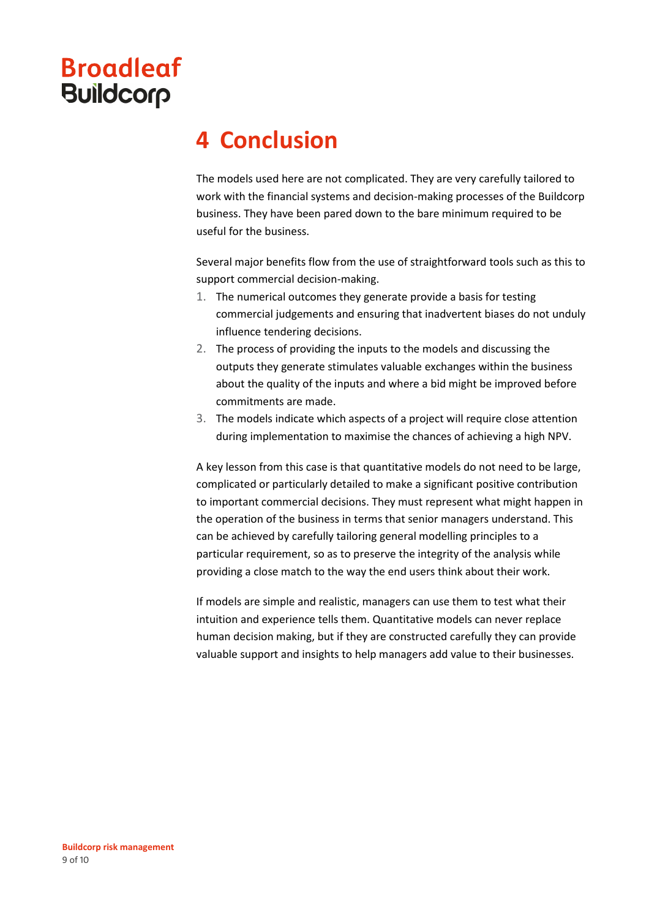### **4 Conclusion**

The models used here are not complicated. They are very carefully tailored to work with the financial systems and decision-making processes of the Buildcorp business. They have been pared down to the bare minimum required to be useful for the business.

Several major benefits flow from the use of straightforward tools such as this to support commercial decision-making.

- 1. The numerical outcomes they generate provide a basis for testing commercial judgements and ensuring that inadvertent biases do not unduly influence tendering decisions.
- 2. The process of providing the inputs to the models and discussing the outputs they generate stimulates valuable exchanges within the business about the quality of the inputs and where a bid might be improved before commitments are made.
- 3. The models indicate which aspects of a project will require close attention during implementation to maximise the chances of achieving a high NPV.

A key lesson from this case is that quantitative models do not need to be large, complicated or particularly detailed to make a significant positive contribution to important commercial decisions. They must represent what might happen in the operation of the business in terms that senior managers understand. This can be achieved by carefully tailoring general modelling principles to a particular requirement, so as to preserve the integrity of the analysis while providing a close match to the way the end users think about their work.

If models are simple and realistic, managers can use them to test what their intuition and experience tells them. Quantitative models can never replace human decision making, but if they are constructed carefully they can provide valuable support and insights to help managers add value to their businesses.